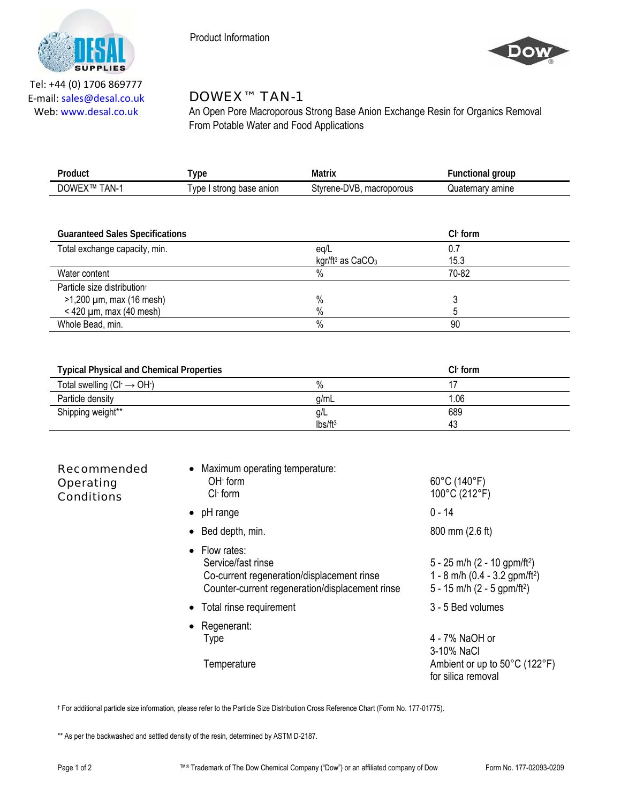



Tel: +44 (0) 1706 869777 E‐mail: sales@desal.co.uk Web: www.desal.co.uk

# DOWEX™ TAN-1

An Open Pore Macroporous Strong Base Anion Exchange Resin for Organics Removal From Potable Water and Food Applications

| Product      | 'ype                      | Matrix                   | -unctional group |
|--------------|---------------------------|--------------------------|------------------|
| DOWEX™ TAN-1 | I ype I strong base anion | Styrene-DVB, macroporous | Quaternary amine |
|              |                           |                          |                  |

| <b>Guaranteed Sales Specifications</b>  |                                | $Cl1$ form |
|-----------------------------------------|--------------------------------|------------|
| Total exchange capacity, min.           | eg/L                           | 0.7        |
|                                         | kgr/ft <sup>3</sup> as $CaCO3$ | 15.3       |
| Water content                           | %                              | 70-82      |
| Particle size distribution <sup>+</sup> |                                |            |
| $>1,200 \mu m$ , max (16 mesh)          | $\%$                           |            |
| $<$ 420 µm, max (40 mesh)               | $\%$                           |            |
| Whole Bead, min.                        | $\%$                           | 90         |

| <b>Typical Physical and Chemical Properties</b> |                     | $Cl$ form |
|-------------------------------------------------|---------------------|-----------|
| Total swelling $(Cl \rightarrow OH)$            | %                   |           |
| Particle density                                | a/mL                | 1.06      |
| Shipping weight**                               | g/L                 | 689       |
|                                                 | Ibs/ft <sup>3</sup> | 43        |

| <b>Recommended</b><br>Operating<br><b>Conditions</b> | • Maximum operating temperature:<br>OH form<br>$Cl-$ form                                                                                    | 60°C (140°F)<br>100°C (212°F)                                                                                                       |
|------------------------------------------------------|----------------------------------------------------------------------------------------------------------------------------------------------|-------------------------------------------------------------------------------------------------------------------------------------|
|                                                      | $\bullet$ pH range                                                                                                                           | $0 - 14$                                                                                                                            |
|                                                      | $\bullet$ Bed depth, min.                                                                                                                    | 800 mm (2.6 ft)                                                                                                                     |
|                                                      | $\bullet$ Flow rates:<br>Service/fast rinse<br>Co-current regeneration/displacement rinse<br>Counter-current regeneration/displacement rinse | 5 - 25 m/h (2 - 10 gpm/ft <sup>2</sup> )<br>1 - 8 m/h (0.4 - 3.2 gpm/ft <sup>2</sup> )<br>5 - 15 m/h $(2 - 5$ gpm/ft <sup>2</sup> ) |
|                                                      | • Total rinse requirement                                                                                                                    | 3 - 5 Bed volumes                                                                                                                   |
|                                                      | • Regenerant:<br>Type                                                                                                                        | 4 - 7% NaOH or<br>3-10% NaCl                                                                                                        |
|                                                      | Temperature                                                                                                                                  | Ambient or up to 50°C (122°F)<br>for silica removal                                                                                 |

† For additional particle size information, please refer to the Particle Size Distribution Cross Reference Chart (Form No. 177-01775).

\*\* As per the backwashed and settled density of the resin, determined by ASTM D-2187.